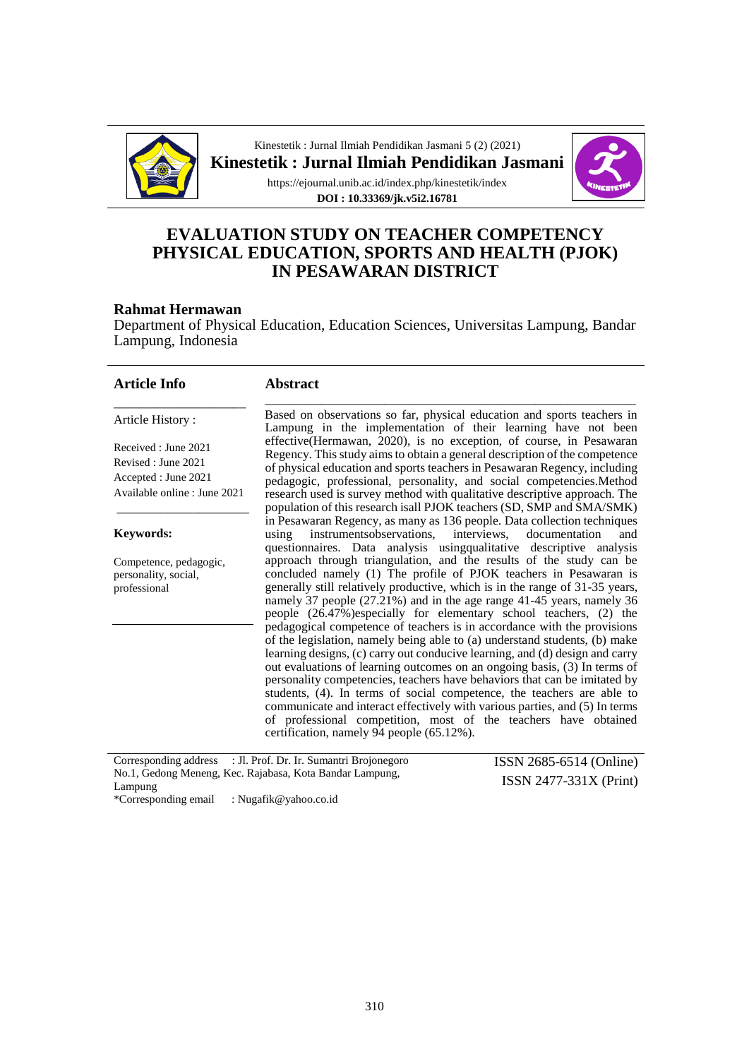

Kinestetik : Jurnal Ilmiah Pendidikan Jasmani 5 (2) (2021) **Kinestetik : Jurnal Ilmiah Pendidikan Jasmani**



https://ejournal.unib.ac.id/index.php/kinestetik/index **DOI : 10.33369/jk.v5i2.16781**

## **EVALUATION STUDY ON TEACHER COMPETENCY PHYSICAL EDUCATION, SPORTS AND HEALTH (PJOK) IN PESAWARAN DISTRICT**

#### **Rahmat Hermawan**

Department of Physical Education, Education Sciences, Universitas Lampung, Bandar Lampung, Indonesia

| <b>Article Info</b>                                                                                | <b>Abstract</b>                                                                                                                                                                                                                                                                                                                                                                                                                                                                                                                                                                               |                         |
|----------------------------------------------------------------------------------------------------|-----------------------------------------------------------------------------------------------------------------------------------------------------------------------------------------------------------------------------------------------------------------------------------------------------------------------------------------------------------------------------------------------------------------------------------------------------------------------------------------------------------------------------------------------------------------------------------------------|-------------------------|
| Article History:                                                                                   | Based on observations so far, physical education and sports teachers in<br>Lampung in the implementation of their learning have not been                                                                                                                                                                                                                                                                                                                                                                                                                                                      |                         |
| Received: June 2021<br>Revised : June 2021<br>Accepted : June 2021<br>Available online : June 2021 | effective(Hermawan, 2020), is no exception, of course, in Pesawaran<br>Regency. This study aims to obtain a general description of the competence<br>of physical education and sports teachers in Pesawaran Regency, including<br>pedagogic, professional, personality, and social competencies. Method<br>research used is survey method with qualitative descriptive approach. The<br>population of this research is all PJOK teachers (SD, SMP and SMA/SMK)                                                                                                                                |                         |
| <b>Keywords:</b>                                                                                   | in Pesawaran Regency, as many as 136 people. Data collection techniques<br>instrumentsobservations, interviews, documentation<br>using<br>questionnaires. Data analysis using qualitative descriptive analysis                                                                                                                                                                                                                                                                                                                                                                                | and                     |
| Competence, pedagogic,<br>personality, social,<br>professional                                     | approach through triangulation, and the results of the study can be<br>concluded namely (1) The profile of PJOK teachers in Pesawaran is<br>generally still relatively productive, which is in the range of 31-35 years,<br>namely 37 people (27.21%) and in the age range 41-45 years, namely 36<br>people (26.47%)especially for elementary school teachers, (2) the<br>pedagogical competence of teachers is in accordance with the provisions                                                                                                                                             |                         |
|                                                                                                    | of the legislation, namely being able to (a) understand students, (b) make<br>learning designs, (c) carry out conducive learning, and (d) design and carry<br>out evaluations of learning outcomes on an ongoing basis, (3) In terms of<br>personality competencies, teachers have behaviors that can be imitated by<br>students, (4). In terms of social competence, the teachers are able to<br>communicate and interact effectively with various parties, and (5) In terms<br>of professional competition, most of the teachers have obtained<br>certification, namely 94 people (65.12%). |                         |
| Corresponding address                                                                              | : Jl. Prof. Dr. Ir. Sumantri Brojonegoro                                                                                                                                                                                                                                                                                                                                                                                                                                                                                                                                                      | ISSN 2685-6514 (Online) |

Corresponding address : Jl. Prof. Dr. Ir. Sumantri Brojonegoro No.1, Gedong Meneng, Kec. Rajabasa, Kota Bandar Lampung, Lampung \*Corresponding email : Nugafik@yahoo.co.id

ISSN 2685-6514 (Online) ISSN 2477-331X (Print)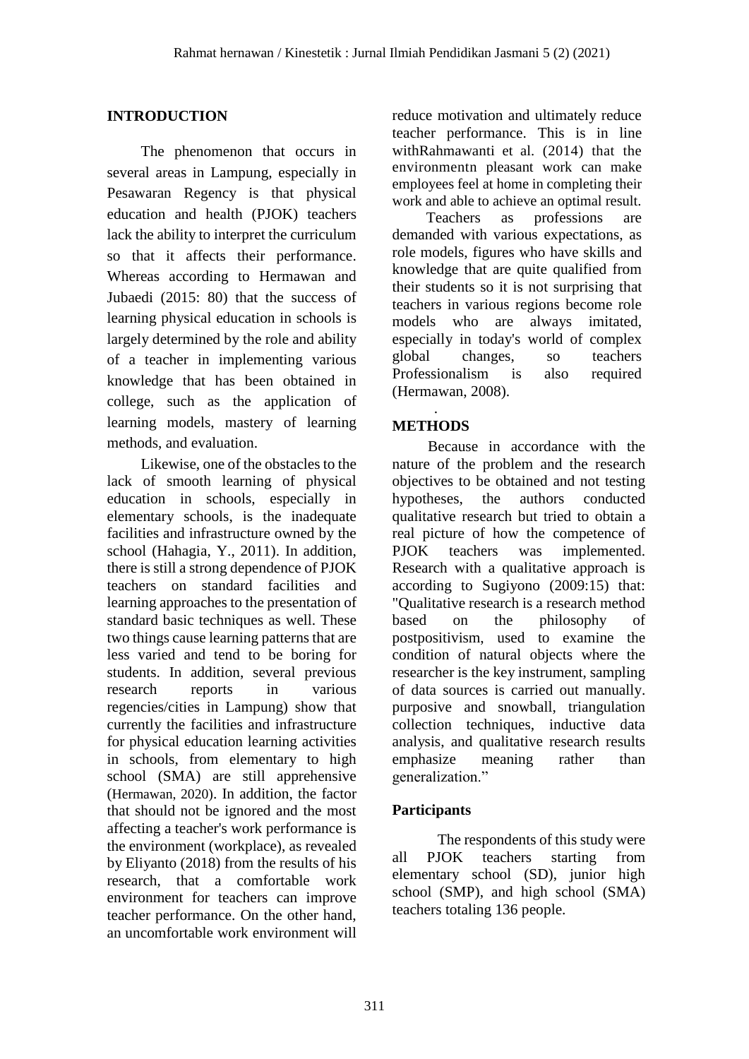## **INTRODUCTION**

The phenomenon that occurs in several areas in Lampung, especially in Pesawaran Regency is that physical education and health (PJOK) teachers lack the ability to interpret the curriculum so that it affects their performance. Whereas according to Hermawan and Jubaedi (2015: 80) that the success of learning physical education in schools is largely determined by the role and ability of a teacher in implementing various knowledge that has been obtained in college, such as the application of learning models, mastery of learning methods, and evaluation.

Likewise, one of the obstacles to the lack of smooth learning of physical education in schools, especially in elementary schools, is the inadequate facilities and infrastructure owned by the school (Hahagia, Y., 2011). In addition, there is still a strong dependence of PJOK teachers on standard facilities and learning approaches to the presentation of standard basic techniques as well. These two things cause learning patterns that are less varied and tend to be boring for students. In addition, several previous research reports in various regencies/cities in Lampung) show that currently the facilities and infrastructure for physical education learning activities in schools, from elementary to high school (SMA) are still apprehensive (Hermawan, 2020). In addition, the factor that should not be ignored and the most affecting a teacher's work performance is the environment (workplace), as revealed by Eliyanto (2018) from the results of his research, that a comfortable work environment for teachers can improve teacher performance. On the other hand, an uncomfortable work environment will reduce motivation and ultimately reduce teacher performance. This is in line withRahmawanti et al. (2014) that the environmentn pleasant work can make employees feel at home in completing their work and able to achieve an optimal result.

Teachers as professions are demanded with various expectations, as role models, figures who have skills and knowledge that are quite qualified from their students so it is not surprising that teachers in various regions become role models who are always imitated, especially in today's world of complex global changes, so teachers Professionalism is also required (Hermawan, 2008).

### . **METHODS**

Because in accordance with the nature of the problem and the research objectives to be obtained and not testing hypotheses, the authors conducted qualitative research but tried to obtain a real picture of how the competence of PJOK teachers was implemented. Research with a qualitative approach is according to Sugiyono (2009:15) that: "Qualitative research is a research method based on the philosophy of postpositivism, used to examine the condition of natural objects where the researcher is the key instrument, sampling of data sources is carried out manually. purposive and snowball, triangulation collection techniques, inductive data analysis, and qualitative research results emphasize meaning rather than generalization."

## **Participants**

The respondents of this study were all PJOK teachers starting from elementary school (SD), junior high school (SMP), and high school (SMA) teachers totaling 136 people.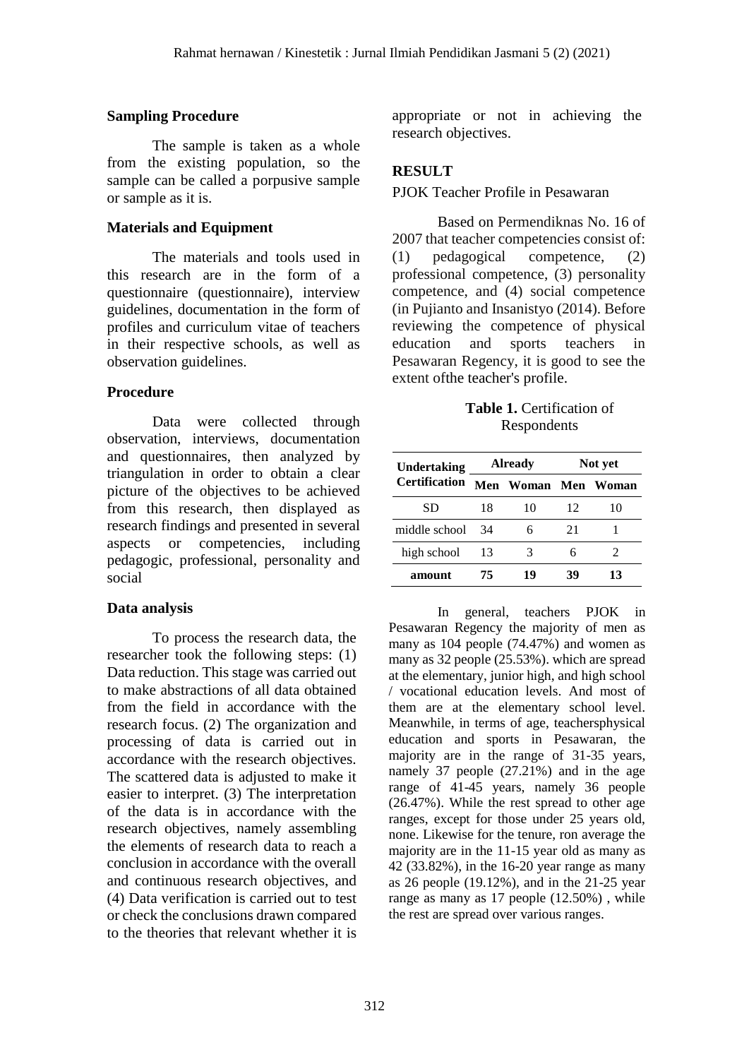#### **Sampling Procedure**

The sample is taken as a whole from the existing population, so the sample can be called a porpusive sample or sample as it is.

### **Materials and Equipment**

The materials and tools used in this research are in the form of a questionnaire (questionnaire), interview guidelines, documentation in the form of profiles and curriculum vitae of teachers in their respective schools, as well as observation guidelines.

#### **Procedure**

Data were collected through observation, interviews, documentation and questionnaires, then analyzed by triangulation in order to obtain a clear picture of the objectives to be achieved from this research, then displayed as research findings and presented in several aspects or competencies, including pedagogic, professional, personality and social

### **Data analysis**

To process the research data, the researcher took the following steps: (1) Data reduction. This stage was carried out to make abstractions of all data obtained from the field in accordance with the research focus. (2) The organization and processing of data is carried out in accordance with the research objectives. The scattered data is adjusted to make it easier to interpret. (3) The interpretation of the data is in accordance with the research objectives, namely assembling the elements of research data to reach a conclusion in accordance with the overall and continuous research objectives, and (4) Data verification is carried out to test or check the conclusions drawn compared to the theories that relevant whether it is appropriate or not in achieving the research objectives.

## **RESULT**

#### PJOK Teacher Profile in Pesawaran

Based on Permendiknas No. 16 of 2007 that teacher competencies consist of: (1) pedagogical competence, (2) professional competence, (3) personality competence, and (4) social competence (in Pujianto and Insanistyo (2014). Before reviewing the competence of physical education and sports teachers in Pesawaran Regency, it is good to see the extent ofthe teacher's profile.

**Table 1.** Certification of Respondents

| <b>Undertaking</b>   | <b>Already</b> |                     | Not yet |    |
|----------------------|----------------|---------------------|---------|----|
| <b>Certification</b> |                | Men Woman Men Woman |         |    |
| SD                   | 18             | 10                  | 12      | 10 |
| middle school        | 34             |                     | 21      |    |
| high school          | 13             |                     | 6       |    |
| amount               | 75             | 19                  | зy      | 13 |

In general, teachers PJOK in Pesawaran Regency the majority of men as many as 104 people (74.47%) and women as many as 32 people (25.53%). which are spread at the elementary, junior high, and high school / vocational education levels. And most of them are at the elementary school level. Meanwhile, in terms of age, teachersphysical education and sports in Pesawaran, the majority are in the range of 31-35 years, namely 37 people (27.21%) and in the age range of 41-45 years, namely 36 people (26.47%). While the rest spread to other age ranges, except for those under 25 years old, none. Likewise for the tenure, ron average the majority are in the 11-15 year old as many as 42 (33.82%), in the 16-20 year range as many as 26 people (19.12%), and in the 21-25 year range as many as 17 people (12.50%) , while the rest are spread over various ranges.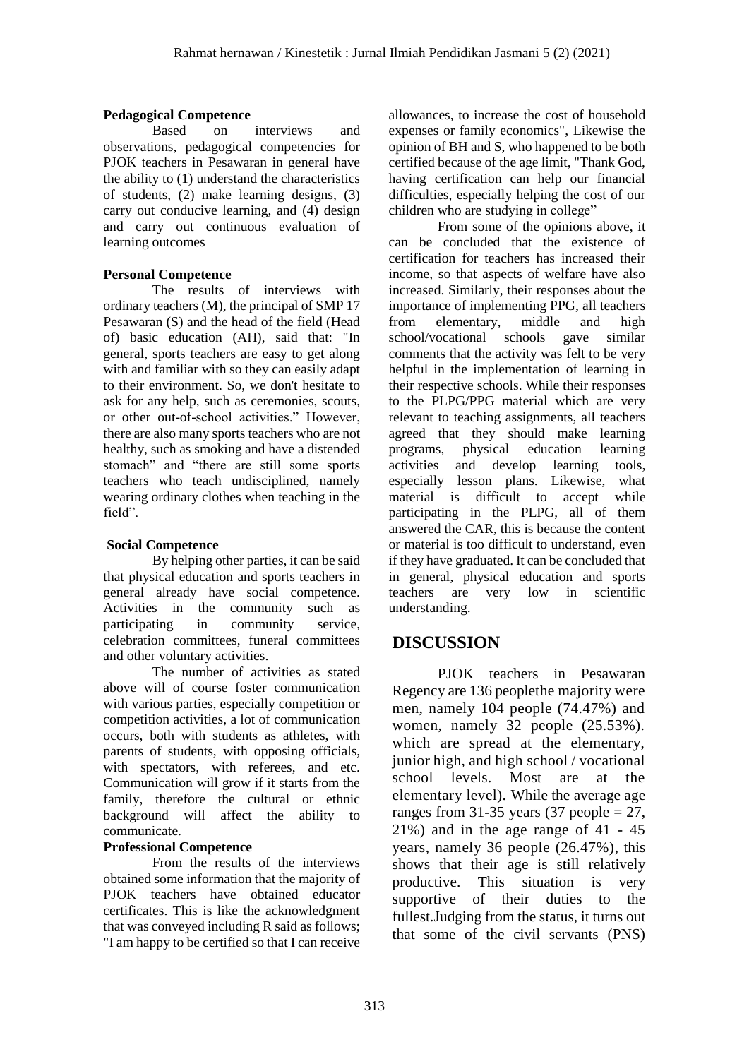### **Pedagogical Competence**

Based on interviews and observations, pedagogical competencies for PJOK teachers in Pesawaran in general have the ability to (1) understand the characteristics of students, (2) make learning designs, (3) carry out conducive learning, and (4) design and carry out continuous evaluation of learning outcomes

### **Personal Competence**

The results of interviews with ordinary teachers (M), the principal of SMP 17 Pesawaran (S) and the head of the field (Head of) basic education (AH), said that: "In general, sports teachers are easy to get along with and familiar with so they can easily adapt to their environment. So, we don't hesitate to ask for any help, such as ceremonies, scouts, or other out-of-school activities." However, there are also many sports teachers who are not healthy, such as smoking and have a distended stomach" and "there are still some sports teachers who teach undisciplined, namely wearing ordinary clothes when teaching in the field".

## **Social Competence**

By helping other parties, it can be said that physical education and sports teachers in general already have social competence. Activities in the community such as participating in community service, celebration committees, funeral committees and other voluntary activities.

The number of activities as stated above will of course foster communication with various parties, especially competition or competition activities, a lot of communication occurs, both with students as athletes, with parents of students, with opposing officials, with spectators, with referees, and etc. Communication will grow if it starts from the family, therefore the cultural or ethnic background will affect the ability to communicate.

## **Professional Competence**

From the results of the interviews obtained some information that the majority of PJOK teachers have obtained educator certificates. This is like the acknowledgment that was conveyed including R said as follows; "I am happy to be certified so that I can receive

allowances, to increase the cost of household expenses or family economics", Likewise the opinion of BH and S, who happened to be both certified because of the age limit, "Thank God, having certification can help our financial difficulties, especially helping the cost of our children who are studying in college"

From some of the opinions above, it can be concluded that the existence of certification for teachers has increased their income, so that aspects of welfare have also increased. Similarly, their responses about the importance of implementing PPG, all teachers from elementary, middle and high school/vocational schools gave similar comments that the activity was felt to be very helpful in the implementation of learning in their respective schools. While their responses to the PLPG/PPG material which are very relevant to teaching assignments, all teachers agreed that they should make learning programs, physical education learning activities and develop learning tools, especially lesson plans. Likewise, what material is difficult to accept while participating in the PLPG, all of them answered the CAR, this is because the content or material is too difficult to understand, even if they have graduated. It can be concluded that in general, physical education and sports<br>teachers are very low in scientific teachers are very low in scientific understanding.

# **DISCUSSION**

PJOK teachers in Pesawaran Regency are 136 peoplethe majority were men, namely 104 people (74.47%) and women, namely 32 people (25.53%). which are spread at the elementary, junior high, and high school / vocational school levels. Most are at the elementary level). While the average age ranges from 31-35 years (37 people  $= 27$ , 21%) and in the age range of 41 - 45 years, namely 36 people (26.47%), this shows that their age is still relatively productive. This situation is very supportive of their duties to the fullest.Judging from the status, it turns out that some of the civil servants (PNS)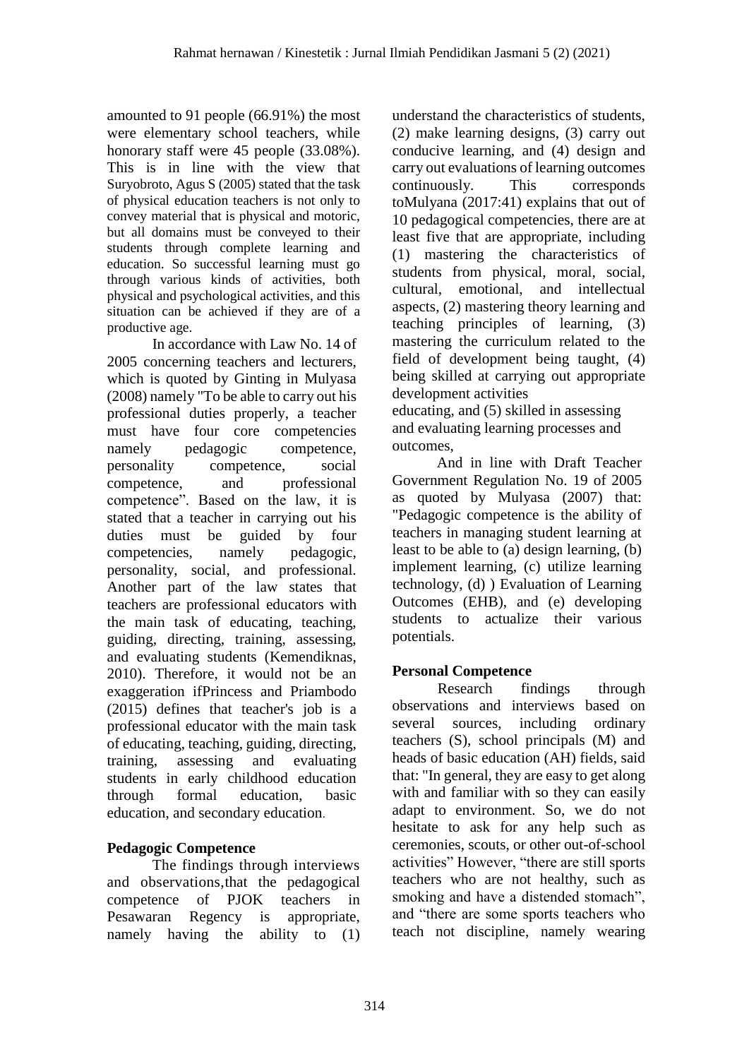amounted to 91 people (66.91%) the most were elementary school teachers, while honorary staff were 45 people (33.08%). This is in line with the view that Suryobroto, Agus S (2005) stated that the task of physical education teachers is not only to convey material that is physical and motoric, but all domains must be conveyed to their students through complete learning and education. So successful learning must go through various kinds of activities, both physical and psychological activities, and this situation can be achieved if they are of a productive age.

In accordance with Law No. 14 of 2005 concerning teachers and lecturers, which is quoted by Ginting in Mulyasa (2008) namely "To be able to carry out his professional duties properly, a teacher must have four core competencies namely pedagogic competence. personality competence, social competence, and professional competence". Based on the law, it is stated that a teacher in carrying out his duties must be guided by four competencies, namely pedagogic, personality, social, and professional. Another part of the law states that teachers are professional educators with the main task of educating, teaching, guiding, directing, training, assessing, and evaluating students (Kemendiknas, 2010). Therefore, it would not be an exaggeration ifPrincess and Priambodo (2015) defines that teacher's job is a professional educator with the main task of educating, teaching, guiding, directing, training, assessing and evaluating students in early childhood education through formal education, basic education, and secondary education.

## **Pedagogic Competence**

The findings through interviews and observations,that the pedagogical competence of PJOK teachers in Pesawaran Regency is appropriate, namely having the ability to (1)

understand the characteristics of students, (2) make learning designs, (3) carry out conducive learning, and (4) design and carry out evaluations of learning outcomes continuously. This corresponds toMulyana (2017:41) explains that out of 10 pedagogical competencies, there are at least five that are appropriate, including (1) mastering the characteristics of students from physical, moral, social, cultural, emotional, and intellectual aspects, (2) mastering theory learning and teaching principles of learning, (3) mastering the curriculum related to the field of development being taught, (4) being skilled at carrying out appropriate development activities educating, and (5) skilled in assessing and evaluating learning processes and outcomes,

And in line with Draft Teacher Government Regulation No. 19 of 2005 as quoted by Mulyasa (2007) that: "Pedagogic competence is the ability of teachers in managing student learning at least to be able to (a) design learning, (b) implement learning, (c) utilize learning technology, (d) ) Evaluation of Learning Outcomes (EHB), and (e) developing students to actualize their various potentials.

## **Personal Competence**

Research findings through observations and interviews based on several sources, including ordinary teachers (S), school principals (M) and heads of basic education (AH) fields, said that: "In general, they are easy to get along with and familiar with so they can easily adapt to environment. So, we do not hesitate to ask for any help such as ceremonies, scouts, or other out-of-school activities" However, "there are still sports teachers who are not healthy, such as smoking and have a distended stomach", and "there are some sports teachers who teach not discipline, namely wearing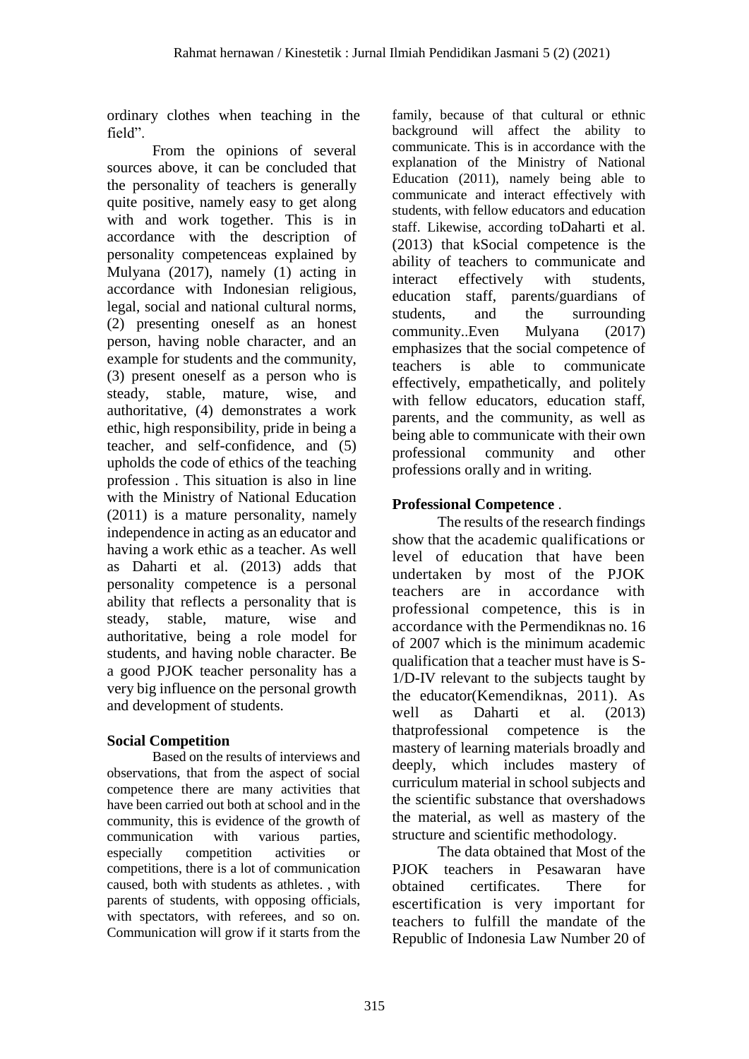ordinary clothes when teaching in the field".

From the opinions of several sources above, it can be concluded that the personality of teachers is generally quite positive, namely easy to get along with and work together. This is in accordance with the description of personality competenceas explained by Mulyana (2017), namely (1) acting in accordance with Indonesian religious, legal, social and national cultural norms, (2) presenting oneself as an honest person, having noble character, and an example for students and the community, (3) present oneself as a person who is steady, stable, mature, wise, and authoritative, (4) demonstrates a work ethic, high responsibility, pride in being a teacher, and self-confidence, and (5) upholds the code of ethics of the teaching profession . This situation is also in line with the Ministry of National Education (2011) is a mature personality, namely independence in acting as an educator and having a work ethic as a teacher. As well as Daharti et al. (2013) adds that personality competence is a personal ability that reflects a personality that is steady, stable, mature, wise and authoritative, being a role model for students, and having noble character. Be a good PJOK teacher personality has a very big influence on the personal growth and development of students.

## **Social Competition**

Based on the results of interviews and observations, that from the aspect of social competence there are many activities that have been carried out both at school and in the community, this is evidence of the growth of communication with various parties, especially competition activities or competitions, there is a lot of communication caused, both with students as athletes. , with parents of students, with opposing officials, with spectators, with referees, and so on. Communication will grow if it starts from the

family, because of that cultural or ethnic background will affect the ability to communicate. This is in accordance with the explanation of the Ministry of National Education (2011), namely being able to communicate and interact effectively with students, with fellow educators and education staff. Likewise, according toDaharti et al. (2013) that kSocial competence is the ability of teachers to communicate and interact effectively with students, education staff, parents/guardians of students, and the surrounding community..Even Mulyana (2017) emphasizes that the social competence of teachers is able to communicate effectively, empathetically, and politely with fellow educators, education staff, parents, and the community, as well as being able to communicate with their own professional community and other professions orally and in writing.

# **Professional Competence** .

The results of the research findings show that the academic qualifications or level of education that have been undertaken by most of the PJOK teachers are in accordance with professional competence, this is in accordance with the Permendiknas no. 16 of 2007 which is the minimum academic qualification that a teacher must have is S-1/D-IV relevant to the subjects taught by the educator(Kemendiknas, 2011). As well as Daharti et al. (2013) thatprofessional competence is the mastery of learning materials broadly and deeply, which includes mastery of curriculum material in school subjects and the scientific substance that overshadows the material, as well as mastery of the structure and scientific methodology.

The data obtained that Most of the PJOK teachers in Pesawaran have obtained certificates. There for escertification is very important for teachers to fulfill the mandate of the Republic of Indonesia Law Number 20 of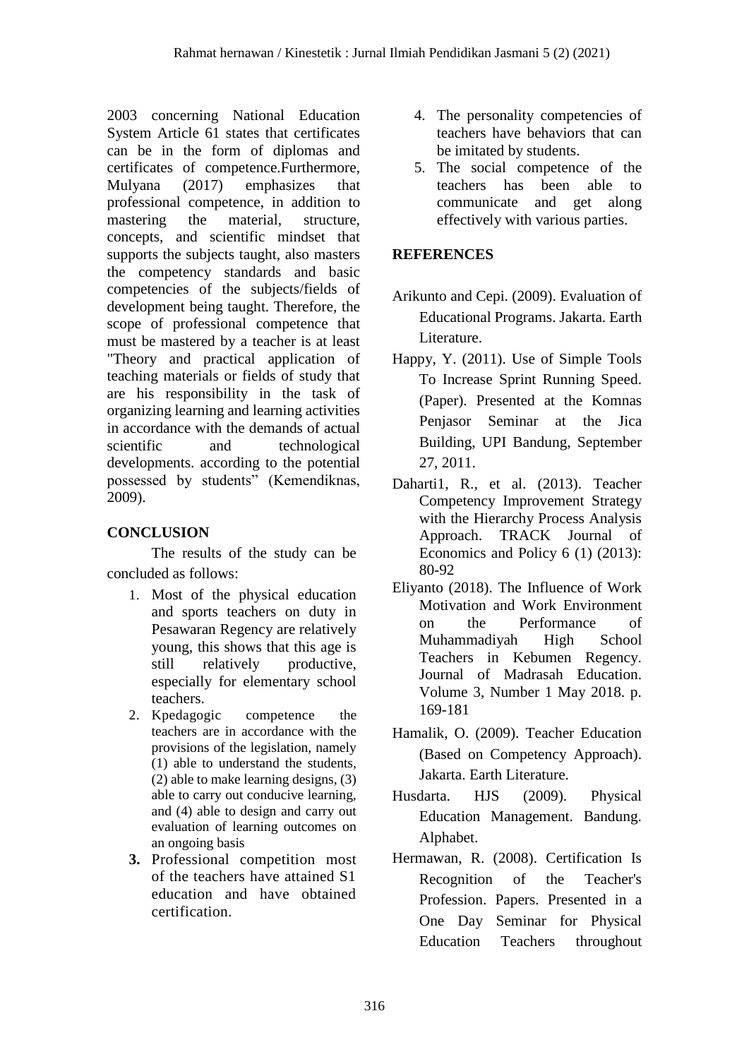2003 concerning National Education System Article 61 states that certificates can be in the form of diplomas and certificates of competence.Furthermore, Mulyana (2017) emphasizes that professional competence, in addition to mastering the material, structure, concepts, and scientific mindset that supports the subjects taught, also masters the competency standards and basic competencies of the subjects/fields of development being taught. Therefore, the scope of professional competence that must be mastered by a teacher is at least "Theory and practical application of teaching materials or fields of study that are his responsibility in the task of organizing learning and learning activities in accordance with the demands of actual scientific and technological developments. according to the potential possessed by students" (Kemendiknas, 2009).

# **CONCLUSION**

The results of the study can be concluded as follows:

- 1. Most of the physical education and sports teachers on duty in Pesawaran Regency are relatively young, this shows that this age is still relatively productive, especially for elementary school teachers.
- 2. Kpedagogic competence the teachers are in accordance with the provisions of the legislation, namely (1) able to understand the students, (2) able to make learning designs, (3) able to carry out conducive learning, and (4) able to design and carry out evaluation of learning outcomes on an ongoing basis
- **3.** Professional competition most of the teachers have attained S1 education and have obtained certification.
- 4. The personality competencies of teachers have behaviors that can be imitated by students.
- 5. The social competence of the teachers has been able to communicate and get along effectively with various parties.

## **REFERENCES**

- Arikunto and Cepi. (2009). Evaluation of Educational Programs. Jakarta. Earth Literature.
- Happy, Y. (2011). Use of Simple Tools To Increase Sprint Running Speed. (Paper). Presented at the Komnas Penjasor Seminar at the Jica Building, UPI Bandung, September 27, 2011.
- Daharti1, R., et al. (2013). Teacher Competency Improvement Strategy with the Hierarchy Process Analysis Approach. TRACK Journal of Economics and Policy 6 (1) (2013): 80-92
- Eliyanto (2018). The Influence of Work Motivation and Work Environment on the Performance of Muhammadiyah High School Teachers in Kebumen Regency. Journal of Madrasah Education. Volume 3, Number 1 May 2018. p. 169-181
- Hamalik, O. (2009). Teacher Education (Based on Competency Approach). Jakarta. Earth Literature.
- Husdarta. HJS (2009). Physical Education Management. Bandung. Alphabet.
- Hermawan, R. (2008). Certification Is Recognition of the Teacher's Profession. Papers. Presented in a One Day Seminar for Physical Education Teachers throughout